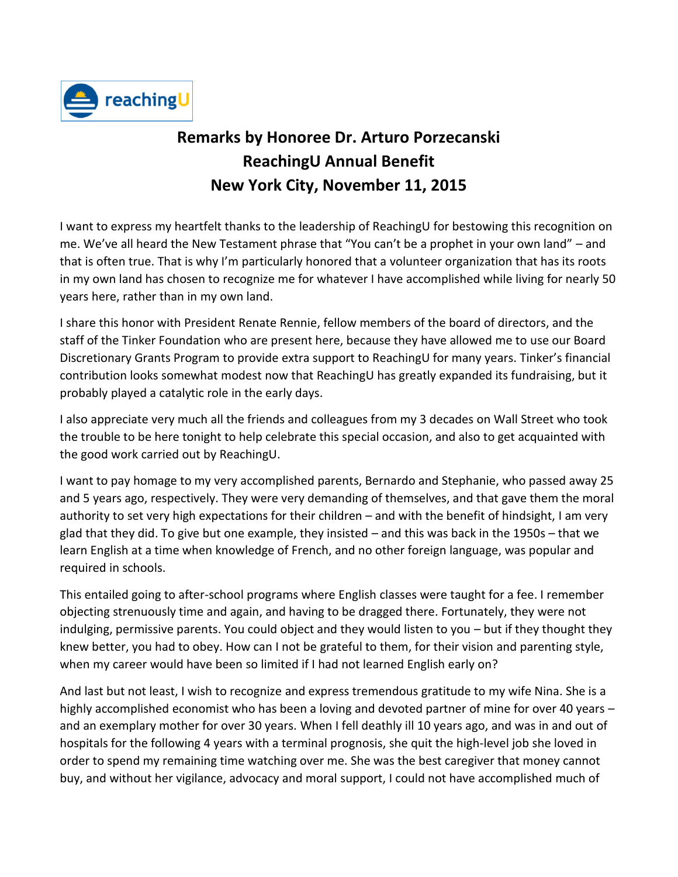

## **Remarks by Honoree Dr. Arturo Porzecanski ReachingU Annual Benefit New York City, November 11, 2015**

I want to express my heartfelt thanks to the leadership of ReachingU for bestowing this recognition on me. We've all heard the New Testament phrase that "You can't be a prophet in your own land" – and that is often true. That is why I'm particularly honored that a volunteer organization that has its roots in my own land has chosen to recognize me for whatever I have accomplished while living for nearly 50 years here, rather than in my own land.

I share this honor with President Renate Rennie, fellow members of the board of directors, and the staff of the Tinker Foundation who are present here, because they have allowed me to use our Board Discretionary Grants Program to provide extra support to ReachingU for many years. Tinker's financial contribution looks somewhat modest now that ReachingU has greatly expanded its fundraising, but it probably played a catalytic role in the early days.

I also appreciate very much all the friends and colleagues from my 3 decades on Wall Street who took the trouble to be here tonight to help celebrate this special occasion, and also to get acquainted with the good work carried out by ReachingU.

I want to pay homage to my very accomplished parents, Bernardo and Stephanie, who passed away 25 and 5 years ago, respectively. They were very demanding of themselves, and that gave them the moral authority to set very high expectations for their children – and with the benefit of hindsight, I am very glad that they did. To give but one example, they insisted – and this was back in the 1950s – that we learn English at a time when knowledge of French, and no other foreign language, was popular and required in schools.

This entailed going to after-school programs where English classes were taught for a fee. I remember objecting strenuously time and again, and having to be dragged there. Fortunately, they were not indulging, permissive parents. You could object and they would listen to you – but if they thought they knew better, you had to obey. How can I not be grateful to them, for their vision and parenting style, when my career would have been so limited if I had not learned English early on?

And last but not least, I wish to recognize and express tremendous gratitude to my wife Nina. She is a highly accomplished economist who has been a loving and devoted partner of mine for over 40 years – and an exemplary mother for over 30 years. When I fell deathly ill 10 years ago, and was in and out of hospitals for the following 4 years with a terminal prognosis, she quit the high-level job she loved in order to spend my remaining time watching over me. She was the best caregiver that money cannot buy, and without her vigilance, advocacy and moral support, I could not have accomplished much of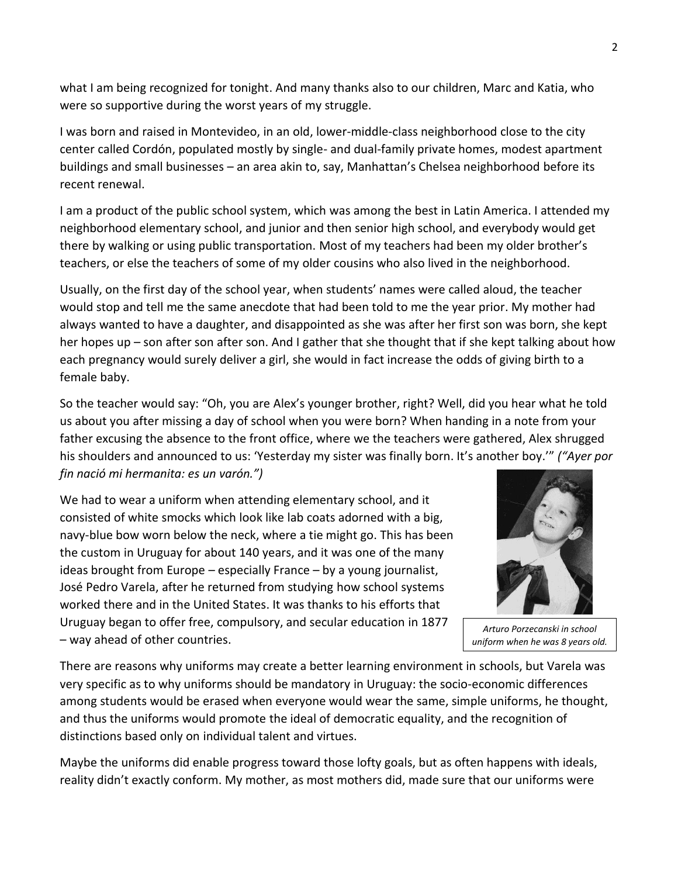what I am being recognized for tonight. And many thanks also to our children, Marc and Katia, who were so supportive during the worst years of my struggle.

I was born and raised in Montevideo, in an old, lower-middle-class neighborhood close to the city center called Cordón, populated mostly by single- and dual-family private homes, modest apartment buildings and small businesses – an area akin to, say, Manhattan's Chelsea neighborhood before its recent renewal.

I am a product of the public school system, which was among the best in Latin America. I attended my neighborhood elementary school, and junior and then senior high school, and everybody would get there by walking or using public transportation. Most of my teachers had been my older brother's teachers, or else the teachers of some of my older cousins who also lived in the neighborhood.

Usually, on the first day of the school year, when students' names were called aloud, the teacher would stop and tell me the same anecdote that had been told to me the year prior. My mother had always wanted to have a daughter, and disappointed as she was after her first son was born, she kept her hopes up – son after son after son. And I gather that she thought that if she kept talking about how each pregnancy would surely deliver a girl, she would in fact increase the odds of giving birth to a female baby.

So the teacher would say: "Oh, you are Alex's younger brother, right? Well, did you hear what he told us about you after missing a day of school when you were born? When handing in a note from your father excusing the absence to the front office, where we the teachers were gathered, Alex shrugged his shoulders and announced to us: 'Yesterday my sister was finally born. It's another boy.'" *("Ayer por fin nació mi hermanita: es un varón.")*

We had to wear a uniform when attending elementary school, and it consisted of white smocks which look like lab coats adorned with a big, navy-blue bow worn below the neck, where a tie might go. This has been the custom in Uruguay for about 140 years, and it was one of the many ideas brought from Europe – especially France – by a young journalist, José Pedro Varela, after he returned from studying how school systems worked there and in the United States. It was thanks to his efforts that Uruguay began to offer free, compulsory, and secular education in 1877 – way ahead of other countries.



*Arturo Porzecanski in school uniform when he was 8 years old.*

There are reasons why uniforms may create a better learning environment in schools, but Varela was very specific as to why uniforms should be mandatory in Uruguay: the socio-economic differences among students would be erased when everyone would wear the same, simple uniforms, he thought, and thus the uniforms would promote the ideal of democratic equality, and the recognition of distinctions based only on individual talent and virtues.

Maybe the uniforms did enable progress toward those lofty goals, but as often happens with ideals, reality didn't exactly conform. My mother, as most mothers did, made sure that our uniforms were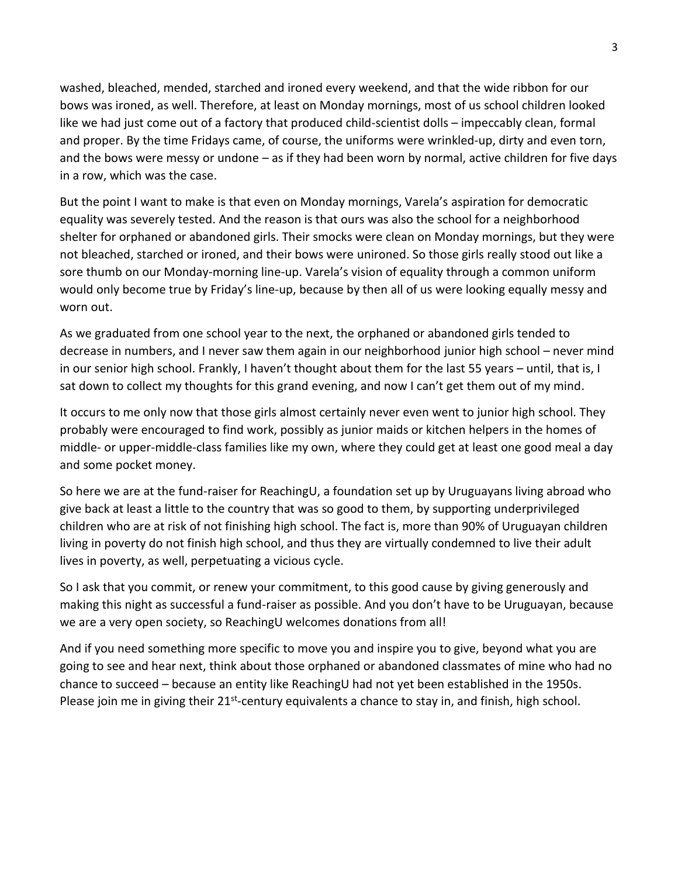washed, bleached, mended, starched and ironed every weekend, and that the wide ribbon for our bows was ironed, as well. Therefore, at least on Monday mornings, most of us school children looked like we had just come out of a factory that produced child-scientist dolls – impeccably clean, formal and proper. By the time Fridays came, of course, the uniforms were wrinkled-up, dirty and even torn, and the bows were messy or undone – as if they had been worn by normal, active children for five days in a row, which was the case.

But the point I want to make is that even on Monday mornings, Varela's aspiration for democratic equality was severely tested. And the reason is that ours was also the school for a neighborhood shelter for orphaned or abandoned girls. Their smocks were clean on Monday mornings, but they were not bleached, starched or ironed, and their bows were unironed. So those girls really stood out like a sore thumb on our Monday-morning line-up. Varela's vision of equality through a common uniform would only become true by Friday's line-up, because by then all of us were looking equally messy and worn out.

As we graduated from one school year to the next, the orphaned or abandoned girls tended to decrease in numbers, and I never saw them again in our neighborhood junior high school – never mind in our senior high school. Frankly, I haven't thought about them for the last 55 years – until, that is, I sat down to collect my thoughts for this grand evening, and now I can't get them out of my mind.

It occurs to me only now that those girls almost certainly never even went to junior high school. They probably were encouraged to find work, possibly as junior maids or kitchen helpers in the homes of middle- or upper-middle-class families like my own, where they could get at least one good meal a day and some pocket money.

So here we are at the fund-raiser for ReachingU, a foundation set up by Uruguayans living abroad who give back at least a little to the country that was so good to them, by supporting underprivileged children who are at risk of not finishing high school. The fact is, more than 90% of Uruguayan children living in poverty do not finish high school, and thus they are virtually condemned to live their adult lives in poverty, as well, perpetuating a vicious cycle.

So I ask that you commit, or renew your commitment, to this good cause by giving generously and making this night as successful a fund-raiser as possible. And you don't have to be Uruguayan, because we are a very open society, so ReachingU welcomes donations from all!

And if you need something more specific to move you and inspire you to give, beyond what you are going to see and hear next, think about those orphaned or abandoned classmates of mine who had no chance to succeed – because an entity like ReachingU had not yet been established in the 1950s. Please join me in giving their 21<sup>st</sup>-century equivalents a chance to stay in, and finish, high school.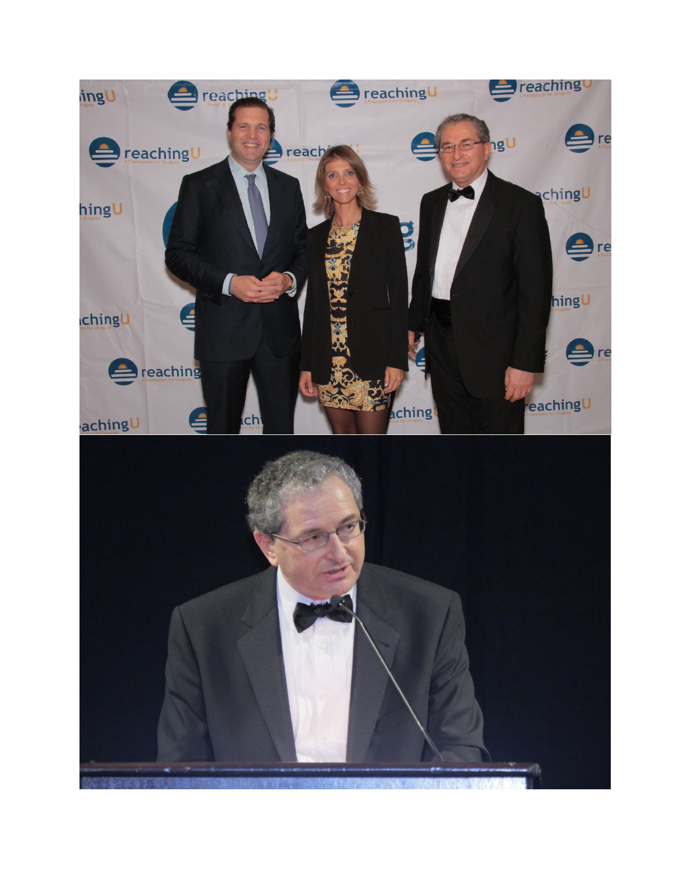